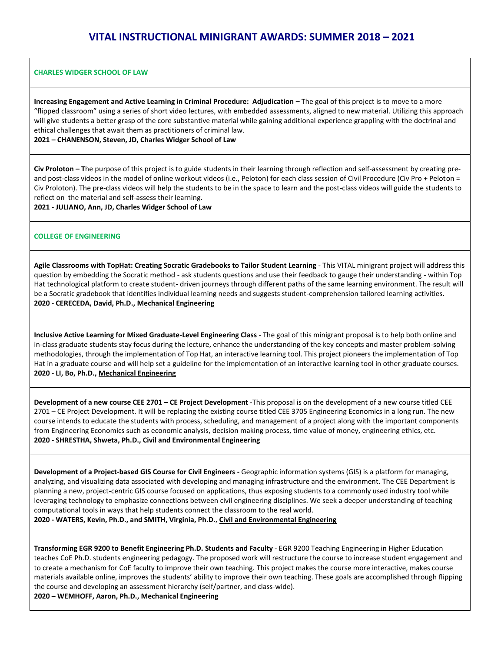# **VITAL INSTRUCTIONAL MINIGRANT AWARDS: SUMMER 2018 – 2021**

#### **CHARLES WIDGER SCHOOL OF LAW**

**Increasing Engagement and Active Learning in Criminal Procedure: Adjudication –** The goal of this project is to move to a more "flipped classroom" using a series of short video lectures, with embedded assessments, aligned to new material. Utilizing this approach will give students a better grasp of the core substantive material while gaining additional experience grappling with the doctrinal and ethical challenges that await them as practitioners of criminal law.

#### **2021 – CHANENSON, Steven, JD, Charles Widger School of Law**

**Civ Proloton – T**he purpose of this project is to guide students in their learning through reflection and self-assessment by creating preand post-class videos in the model of online workout videos (i.e., Peloton) for each class session of Civil Procedure (Civ Pro + Peloton = Civ Proloton). The pre-class videos will help the students to be in the space to learn and the post-class videos will guide the students to reflect on the material and self-assess their learning.

**2021 - JULIANO, Ann, JD, Charles Widger School of Law**

#### **COLLEGE OF ENGINEERING**

**Agile Classrooms with TopHat: Creating Socratic Gradebooks to Tailor Student Learning** - This VITAL minigrant project will address this question by embedding the Socratic method - ask students questions and use their feedback to gauge their understanding - within Top Hat technological platform to create student- driven journeys through different paths of the same learning environment. The result will be a Socratic gradebook that identifies individual learning needs and suggests student-comprehension tailored learning activities. **2020 - CERECEDA, David, Ph.D., Mechanical Engineering**

**Inclusive Active Learning for Mixed Graduate-Level Engineering Class** - The goal of this minigrant proposal is to help both online and in-class graduate students stay focus during the lecture, enhance the understanding of the key concepts and master problem-solving methodologies, through the implementation of Top Hat, an interactive learning tool. This project pioneers the implementation of Top Hat in a graduate course and will help set a guideline for the implementation of an interactive learning tool in other graduate courses. **2020 - LI, Bo, Ph.D., Mechanical Engineering**

**Development of a new course CEE 2701 – CE Project Development** -This proposal is on the development of a new course titled CEE 2701 – CE Project Development. It will be replacing the existing course titled CEE 3705 Engineering Economics in a long run. The new course intends to educate the students with process, scheduling, and management of a project along with the important components from Engineering Economics such as economic analysis, decision making process, time value of money, engineering ethics, etc. **2020 - SHRESTHA, Shweta, Ph.D., Civil and Environmental Engineering**

**Development of a Project-based GIS Course for Civil Engineers -** Geographic information systems (GIS) is a platform for managing, analyzing, and visualizing data associated with developing and managing infrastructure and the environment. The CEE Department is planning a new, project-centric GIS course focused on applications, thus exposing students to a commonly used industry tool while leveraging technology to emphasize connections between civil engineering disciplines. We seek a deeper understanding of teaching computational tools in ways that help students connect the classroom to the real world.

**2020 - WATERS, Kevin, Ph.D., and SMITH, Virginia, Ph.D**., **Civil and Environmental Engineering**

**Transforming EGR 9200 to Benefit Engineering Ph.D. Students and Faculty** - EGR 9200 Teaching Engineering in Higher Education teaches CoE Ph.D. students engineering pedagogy. The proposed work will restructure the course to increase student engagement and to create a mechanism for CoE faculty to improve their own teaching. This project makes the course more interactive, makes course materials available online, improves the students' ability to improve their own teaching. These goals are accomplished through flipping the course and developing an assessment hierarchy (self/partner, and class-wide).

**2020 – WEMHOFF, Aaron, Ph.D., Mechanical Engineering**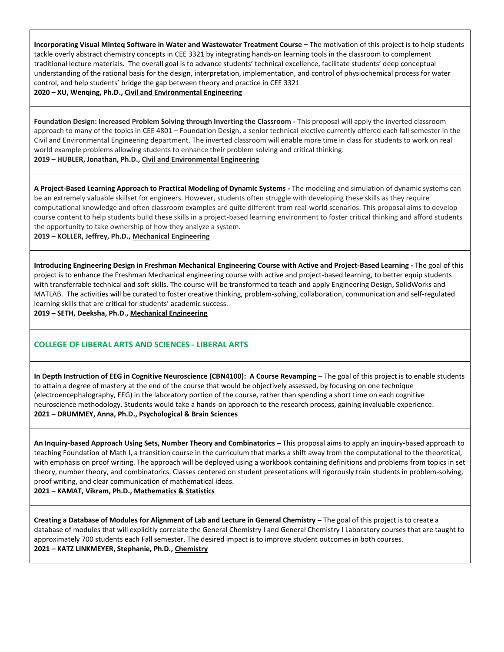**Incorporating Visual Minteq Software in Water and Wastewater Treatment Course - The motivation of this project is to help students** tackle overly abstract chemistry concepts in CEE 3321 by integrating hands-on learning tools in the classroom to complement traditional lecture materials. The overall goal is to advance students' technical excellence, facilitate students' deep conceptual understanding of the rational basis for the design, interpretation, implementation, and control of physiochemical process for water control, and help students' bridge the gap between theory and practice in CEE 3321 **2020 – XU, Wenqing, Ph.D., Civil and Environmental Engineering**

**Foundation Design: Increased Problem Solving through Inverting the Classroom -** This proposal will apply the inverted classroom approach to many of the topics in CEE 4801 – Foundation Design, a senior technical elective currently offered each fall semester in the Civil and Environmental Engineering department. The inverted classroom will enable more time in class for students to work on real world example problems allowing students to enhance their problem solving and critical thinking. **2019 – HUBLER, Jonathan, Ph.D., Civil and Environmental Engineering**

**A Project-Based Learning Approach to Practical Modeling of Dynamic Systems -** The modeling and simulation of dynamic systems can be an extremely valuable skillset for engineers. However, students often struggle with developing these skills as they require computational knowledge and often classroom examples are quite different from real-world scenarios. This proposal aims to develop course content to help students build these skills in a project-based learning environment to foster critical thinking and afford students the opportunity to take ownership of how they analyze a system.

**2019 – KOLLER, Jeffrey, Ph.D., Mechanical Engineering**

**Introducing Engineering Design in Freshman Mechanical Engineering Course with Active and Project-Based Learning -** The goal of this project is to enhance the Freshman Mechanical engineering course with active and project-based learning, to better equip students with transferrable technical and soft skills. The course will be transformed to teach and apply Engineering Design, SolidWorks and MATLAB. The activities will be curated to foster creative thinking, problem-solving, collaboration, communication and self-regulated learning skills that are critical for students' academic success.

**2019 – SETH, Deeksha, Ph.D., Mechanical Engineering**

# **COLLEGE OF LIBERAL ARTS AND SCIENCES - LIBERAL ARTS**

**In Depth Instruction of EEG in Cognitive Neuroscience (CBN4100): A Course Revamping** – The goal of this project is to enable students to attain a degree of mastery at the end of the course that would be objectively assessed, by focusing on one technique (electroencephalography, EEG) in the laboratory portion of the course, rather than spending a short time on each cognitive neuroscience methodology. Students would take a hands-on approach to the research process, gaining invaluable experience. **2021 – DRUMMEY, Anna, Ph.D., Psychological & Brain Sciences**

**An Inquiry-based Approach Using Sets, Number Theory and Combinatorics –** This proposal aims to apply an inquiry-based approach to teaching Foundation of Math I, a transition course in the curriculum that marks a shift away from the computational to the theoretical, with emphasis on proof writing. The approach will be deployed using a workbook containing definitions and problems from topics in set theory, number theory, and combinatorics. Classes centered on student presentations will rigorously train students in problem-solving, proof writing, and clear communication of mathematical ideas.

**2021 – KAMAT, Vikram, Ph.D., Mathematics & Statistics**

**Creating a Database of Modules for Alignment of Lab and Lecture in General Chemistry –** The goal of this project is to create a database of modules that will explicitly correlate the General Chemistry I and General Chemistry I Laboratory courses that are taught to approximately 700 students each Fall semester. The desired impact is to improve student outcomes in both courses. **2021 – KATZ LINKMEYER, Stephanie, Ph.D., Chemistry**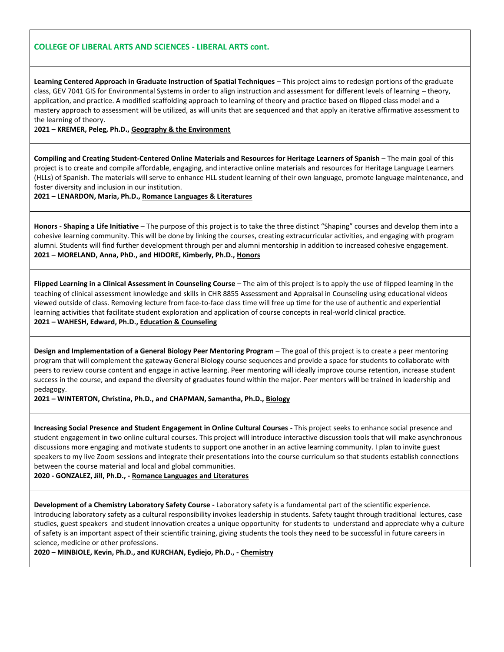**Learning Centered Approach in Graduate Instruction of Spatial Techniques** – This project aims to redesign portions of the graduate class, GEV 7041 GIS for Environmental Systems in order to align instruction and assessment for different levels of learning – theory, application, and practice. A modified scaffolding approach to learning of theory and practice based on flipped class model and a mastery approach to assessment will be utilized, as will units that are sequenced and that apply an iterative affirmative assessment to the learning of theory.

#### 2**021 – KREMER, Peleg, Ph.D., Geography & the Environment**

**Compiling and Creating Student-Centered Online Materials and Resources for Heritage Learners of Spanish** – The main goal of this project is to create and compile affordable, engaging, and interactive online materials and resources for Heritage Language Learners (HLLs) of Spanish. The materials will serve to enhance HLL student learning of their own language, promote language maintenance, and foster diversity and inclusion in our institution.

**2021 – LENARDON, Maria, Ph.D., Romance Languages & Literatures**

**Honors - Shaping a Life Initiative** – The purpose of this project is to take the three distinct "Shaping" courses and develop them into a cohesive learning community. This will be done by linking the courses, creating extracurricular activities, and engaging with program alumni. Students will find further development through per and alumni mentorship in addition to increased cohesive engagement. **2021 – MORELAND, Anna, PhD., and HIDORE, Kimberly, Ph.D., Honors**

**Flipped Learning in a Clinical Assessment in Counseling Course** – The aim of this project is to apply the use of flipped learning in the teaching of clinical assessment knowledge and skills in CHR 8855 Assessment and Appraisal in Counseling using educational videos viewed outside of class. Removing lecture from face-to-face class time will free up time for the use of authentic and experiential learning activities that facilitate student exploration and application of course concepts in real-world clinical practice. **2021 – WAHESH, Edward, Ph.D., Education & Counseling**

**Design and Implementation of a General Biology Peer Mentoring Program** – The goal of this project is to create a peer mentoring program that will complement the gateway General Biology course sequences and provide a space for students to collaborate with peers to review course content and engage in active learning. Peer mentoring will ideally improve course retention, increase student success in the course, and expand the diversity of graduates found within the major. Peer mentors will be trained in leadership and pedagogy.

**2021 – WINTERTON, Christina, Ph.D., and CHAPMAN, Samantha, Ph.D., Biology**

**Increasing Social Presence and Student Engagement in Online Cultural Courses -** This project seeks to enhance social presence and student engagement in two online cultural courses. This project will introduce interactive discussion tools that will make asynchronous discussions more engaging and motivate students to support one another in an active learning community. I plan to invite guest speakers to my live Zoom sessions and integrate their presentations into the course curriculum so that students establish connections between the course material and local and global communities.

**2020 - GONZALEZ, Jill, Ph.D., - Romance Languages and Literatures**

**Development of a Chemistry Laboratory Safety Course -** Laboratory safety is a fundamental part of the scientific experience. Introducing laboratory safety as a cultural responsibility invokes leadership in students. Safety taught through traditional lectures, case studies, guest speakers and student innovation creates a unique opportunity for students to understand and appreciate why a culture of safety is an important aspect of their scientific training, giving students the tools they need to be successful in future careers in science, medicine or other professions.

**2020 – MINBIOLE, Kevin, Ph.D., and KURCHAN, Eydiejo, Ph.D., - Chemistry**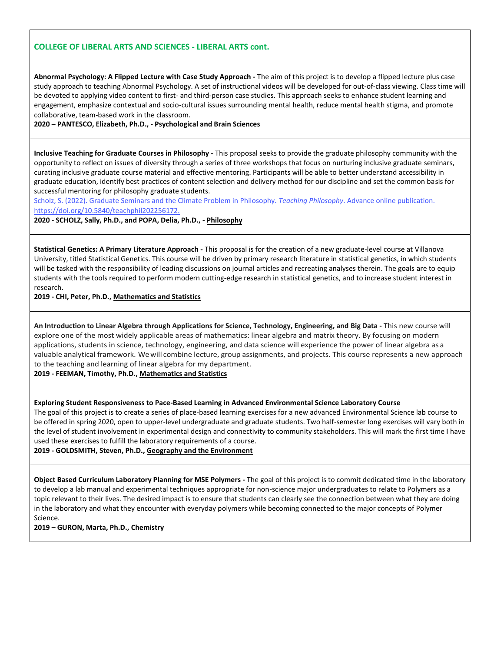**Abnormal Psychology: A Flipped Lecture with Case Study Approach -** The aim of this project is to develop a flipped lecture plus case study approach to teaching Abnormal Psychology. A set of instructional videos will be developed for out-of-class viewing. Class time will be devoted to applying video content to first- and third-person case studies. This approach seeks to enhance student learning and engagement, emphasize contextual and socio-cultural issues surrounding mental health, reduce mental health stigma, and promote collaborative, team-based work in the classroom.

**2020 – PANTESCO, Elizabeth, Ph.D., - Psychological and Brain Sciences**

**Inclusive Teaching for Graduate Courses in Philosophy -** This proposal seeks to provide the graduate philosophy community with the opportunity to reflect on issues of diversity through a series of three workshops that focus on nurturing inclusive graduate seminars, curating inclusive graduate course material and effective mentoring. Participants will be able to better understand accessibility in graduate education, identify best practices of content selection and delivery method for our discipline and set the common basis for successful mentoring for philosophy graduate students.

[Scholz, S. \(2022\). Graduate Seminars and the Climate Problem in Philosophy.](https://www1.villanova.edu/content/dam/villanova/vital/vitalminigrants/sscholzteachphil_2022_0999_5_6_172.pdf) *Teaching Philosophy*. Advance online publication. https://doi.org/10.5840/teachphil202256172.

**2020 - SCHOLZ, Sally, Ph.D., and POPA, Delia, Ph.D., - Philosophy**

**Statistical Genetics: A Primary Literature Approach -** This proposal is for the creation of a new graduate-level course at Villanova University, titled Statistical Genetics. This course will be driven by primary research literature in statistical genetics, in which students will be tasked with the responsibility of leading discussions on journal articles and recreating analyses therein. The goals are to equip students with the tools required to perform modern cutting-edge research in statistical genetics, and to increase student interest in research.

**2019 - CHI, Peter, Ph.D., Mathematics and Statistics**

**An Introduction to Linear Algebra through Applications for Science, Technology, Engineering, and Big Data -** This new course will explore one of the most widely applicable areas of mathematics: linear algebra and matrix theory. By focusing on modern applications, students in science, technology, engineering, and data science will experience the power of linear algebra as a valuable analytical framework. Wewill combine lecture, group assignments, and projects. This course represents a new approach to the teaching and learning of linear algebra for my department.

**2019 - FEEMAN, Timothy, Ph.D., Mathematics and Statistics**

**Exploring Student Responsiveness to Pace-Based Learning in Advanced Environmental Science Laboratory Course**

The goal of this project is to create a series of place-based learning exercises for a new advanced Environmental Science lab course to be offered in spring 2020, open to upper-level undergraduate and graduate students. Two half-semester long exercises will vary both in the level of student involvement in experimental design and connectivity to community stakeholders. This will mark the first time I have used these exercises to fulfill the laboratory requirements of a course.

**2019 - GOLDSMITH, Steven, Ph.D., Geography and the Environment**

**Object Based Curriculum Laboratory Planning for MSE Polymers -** The goal of this project is to commit dedicated time in the laboratory to develop a lab manual and experimental techniques appropriate for non-science major undergraduates to relate to Polymers as a topic relevant to their lives. The desired impact is to ensure that students can clearly see the connection between what they are doing in the laboratory and what they encounter with everyday polymers while becoming connected to the major concepts of Polymer Science.

**2019 – GURON, Marta, Ph.D., Chemistry**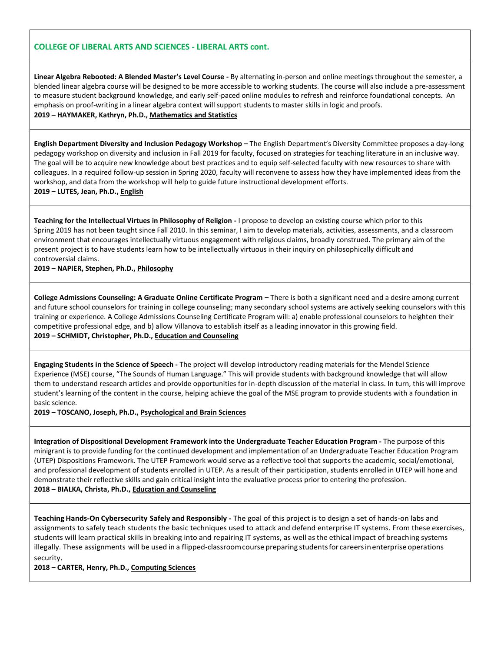**Linear Algebra Rebooted: A Blended Master's Level Course -** By alternating in-person and online meetings throughout the semester, a blended linear algebra course will be designed to be more accessible to working students. The course will also include a pre-assessment to measure student background knowledge, and early self-paced online modules to refresh and reinforce foundational concepts. An emphasis on proof-writing in a linear algebra context will support students to master skills in logic and proofs. **2019 – HAYMAKER, Kathryn, Ph.D., Mathematics and Statistics**

**English Department Diversity and Inclusion Pedagogy Workshop –** The English Department's Diversity Committee proposes a day-long pedagogy workshop on diversity and inclusion in Fall 2019 for faculty, focused on strategies for teaching literature in an inclusive way. The goal will be to acquire new knowledge about best practices and to equip self-selected faculty with new resources to share with colleagues. In a required follow-up session in Spring 2020, faculty will reconvene to assess how they have implemented ideas from the workshop, and data from the workshop will help to guide future instructional development efforts. **2019 – LUTES, Jean, Ph.D., English**

**Teaching for the Intellectual Virtues in Philosophy of Religion -** I propose to develop an existing course which prior to this Spring 2019 has not been taught since Fall 2010. In this seminar, I aim to develop materials, activities, assessments, and a classroom environment that encourages intellectually virtuous engagement with religious claims, broadly construed. The primary aim of the present project is to have students learn how to be intellectually virtuous in their inquiry on philosophically difficult and controversial claims.

#### **2019 – NAPIER, Stephen, Ph.D., Philosophy**

**College Admissions Counseling: A Graduate Online Certificate Program – There is both a significant need and a desire among current** and future school counselors for training in college counseling; many secondary school systems are actively seeking counselors with this training or experience. A College Admissions Counseling Certificate Program will: a) enable professional counselors to heighten their competitive professional edge, and b) allow Villanova to establish itself as a leading innovator in this growing field. **2019 – SCHMIDT, Christopher, Ph.D., Education and Counseling**

**Engaging Students in the Science of Speech -** The project will develop introductory reading materials for the Mendel Science Experience (MSE) course, "The Sounds of Human Language." This will provide students with background knowledge that will allow them to understand research articles and provide opportunities for in-depth discussion of the material in class. In turn, this will improve student's learning of the content in the course, helping achieve the goal of the MSE program to provide students with a foundation in basic science.

**2019 – TOSCANO, Joseph, Ph.D., Psychological and Brain Sciences**

**Integration of Dispositional Development Framework into the Undergraduate Teacher Education Program -** The purpose of this minigrant is to provide funding for the continued development and implementation of an Undergraduate Teacher Education Program (UTEP) Dispositions Framework. The UTEP Framework would serve as a reflective tool that supports the academic, social/emotional, and professional development of students enrolled in UTEP. As a result of their participation, students enrolled in UTEP will hone and demonstrate their reflective skills and gain critical insight into the evaluative process prior to entering the profession. **2018 – BIALKA, Christa, Ph.D., Education and Counseling**

**Teaching Hands-On Cybersecurity Safely and Responsibly -** The goal of this project is to design a set of hands-on labs and assignments to safely teach students the basic techniques used to attack and defend enterprise IT systems. From these exercises, students will learn practical skills in breaking into and repairing IT systems, as well asthe ethical impact of breaching systems illegally. These assignments will be used in a flipped-classroom course preparing students for careers in enterprise operations security.

**2018 – CARTER, Henry, Ph.D., Computing Sciences**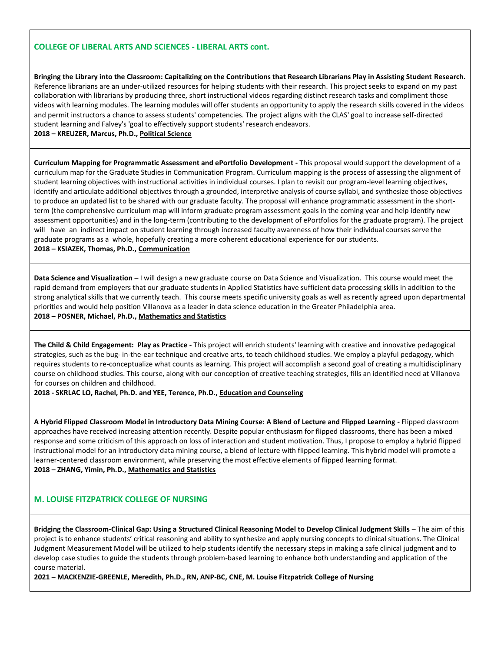**Bringing the Library into the Classroom: Capitalizing on the Contributions that Research Librarians Play in Assisting Student Research.**  Reference librarians are an under-utilized resources for helping students with their research. This project seeks to expand on my past collaboration with librarians by producing three, short instructional videos regarding distinct research tasks and compliment those videos with learning modules. The learning modules will offer students an opportunity to apply the research skills covered in the videos and permit instructors a chance to assess students' competencies. The project aligns with the CLAS' goal to increase self-directed student learning and Falvey's 'goal to effectively support students' research endeavors.

**2018 – KREUZER, Marcus, Ph.D., Political Science**

**Curriculum Mapping for Programmatic Assessment and ePortfolio Development -** This proposal would support the development of a curriculum map for the Graduate Studies in Communication Program. Curriculum mapping is the process of assessing the alignment of student learning objectives with instructional activities in individual courses. I plan to revisit our program-level learning objectives, identify and articulate additional objectives through a grounded, interpretive analysis of course syllabi, and synthesize those objectives to produce an updated list to be shared with our graduate faculty. The proposal will enhance programmatic assessment in the shortterm (the comprehensive curriculum map will inform graduate program assessment goals in the coming year and help identify new assessment opportunities) and in the long-term (contributing to the development of ePortfolios for the graduate program). The project will have an indirect impact on student learning through increased faculty awareness of how their individual courses serve the graduate programs as a whole, hopefully creating a more coherent educational experience for our students. **2018 – KSIAZEK, Thomas, Ph.D., Communication**

**Data Science and Visualization –** I will design a new graduate course on Data Science and Visualization. This course would meet the rapid demand from employers that our graduate students in Applied Statistics have sufficient data processing skills in addition to the strong analytical skills that we currently teach. This course meets specific university goals as well as recently agreed upon departmental priorities and would help position Villanova as a leader in data science education in the Greater Philadelphia area. **2018 – POSNER, Michael, Ph.D., Mathematics and Statistics**

**The Child & Child Engagement: Play as Practice -** This project will enrich students' learning with creative and innovative pedagogical strategies, such as the bug- in-the-ear technique and creative arts, to teach childhood studies. We employ a playful pedagogy, which requires students to re-conceptualize what counts as learning. This project will accomplish a second goal of creating a multidisciplinary course on childhood studies. This course, along with our conception of creative teaching strategies, fills an identified need at Villanova for courses on children and childhood.

**2018 - SKRLAC LO, Rachel, Ph.D. and YEE, Terence, Ph.D., Education and Counseling**

**A Hybrid Flipped Classroom Model in Introductory Data Mining Course: A Blend of Lecture and Flipped Learning -** Flipped classroom approaches have received increasing attention recently. Despite popular enthusiasm for flipped classrooms, there has been a mixed response and some criticism of this approach on loss of interaction and student motivation. Thus, I propose to employ a hybrid flipped instructional model for an introductory data mining course, a blend of lecture with flipped learning. This hybrid model will promote a learner-centered classroom environment, while preserving the most effective elements of flipped learning format. **2018 – ZHANG, Yimin, Ph.D., Mathematics and Statistics**

# **M. LOUISE FITZPATRICK COLLEGE OF NURSING**

**Bridging the Classroom-Clinical Gap: Using a Structured Clinical Reasoning Model to Develop Clinical Judgment Skills** – The aim of this project is to enhance students' critical reasoning and ability to synthesize and apply nursing concepts to clinical situations. The Clinical Judgment Measurement Model will be utilized to help students identify the necessary steps in making a safe clinical judgment and to develop case studies to guide the students through problem-based learning to enhance both understanding and application of the course material.

**2021 – MACKENZIE-GREENLE, Meredith, Ph.D., RN, ANP-BC, CNE, M. Louise Fitzpatrick College of Nursing**